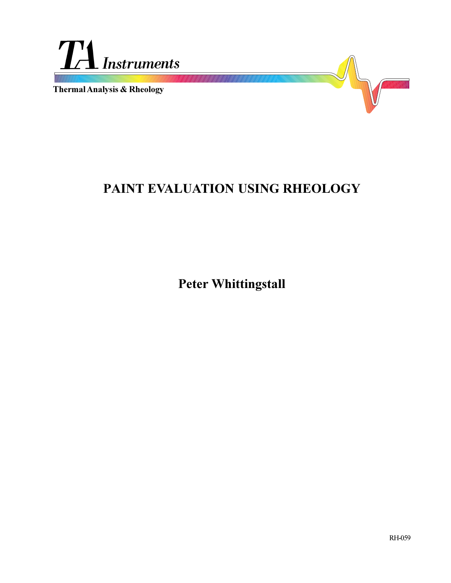

**Thermal Analysis & Rheology**

# **PAINT EVALUATION USING RHEOLOGY**

**Peter Whittingstall**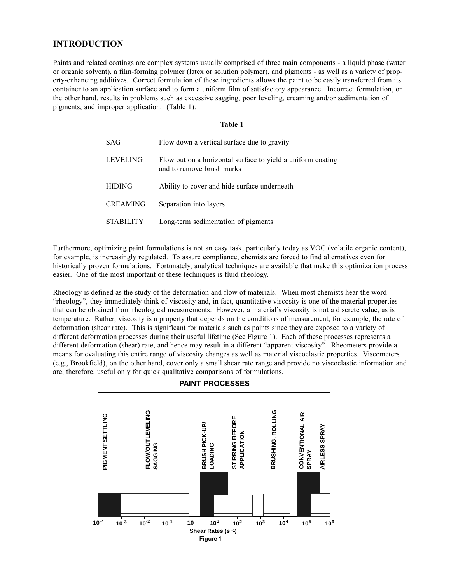## **INTRODUCTION**

Paints and related coatings are complex systems usually comprised of three main components - a liquid phase (water or organic solvent), a film-forming polymer (latex or solution polymer), and pigments - as well as a variety of property-enhancing additives. Correct formulation of these ingredients allows the paint to be easily transferred from its container to an application surface and to form a uniform film of satisfactory appearance. Incorrect formulation, on the other hand, results in problems such as excessive sagging, poor leveling, creaming and/or sedimentation of pigments, and improper application. (Table 1).

#### **Table 1**

| SAG              | Flow down a vertical surface due to gravity                                              |
|------------------|------------------------------------------------------------------------------------------|
| <b>LEVELING</b>  | Flow out on a horizontal surface to yield a uniform coating<br>and to remove brush marks |
| <b>HIDING</b>    | Ability to cover and hide surface underneath                                             |
| <b>CREAMING</b>  | Separation into layers                                                                   |
| <b>STABILITY</b> | Long-term sedimentation of pigments                                                      |

Furthermore, optimizing paint formulations is not an easy task, particularly today as VOC (volatile organic content), for example, is increasingly regulated. To assure compliance, chemists are forced to find alternatives even for historically proven formulations. Fortunately, analytical techniques are available that make this optimization process easier. One of the most important of these techniques is fluid rheology.

Rheology is defined as the study of the deformation and flow of materials. When most chemists hear the word rheology, they immediately think of viscosity and, in fact, quantitative viscosity is one of the material properties that can be obtained from rheological measurements. However, a material's viscosity is not a discrete value, as is temperature. Rather, viscosity is a property that depends on the conditions of measurement, for example, the rate of deformation (shear rate). This is significant for materials such as paints since they are exposed to a variety of different deformation processes during their useful lifetime (See Figure 1). Each of these processes represents a different deformation (shear) rate, and hence may result in a different "apparent viscosity". Rheometers provide a means for evaluating this entire range of viscosity changes as well as material viscoelastic properties. Viscometers (e.g., Brookfield), on the other hand, cover only a small shear rate range and provide no viscoelastic information and are, therefore, useful only for quick qualitative comparisons of formulations.



**PAINT PROCESSES**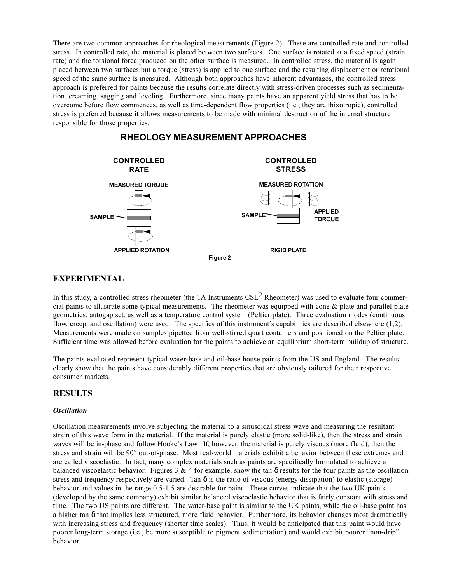There are two common approaches for rheological measurements (Figure 2). These are controlled rate and controlled stress. In controlled rate, the material is placed between two surfaces. One surface is rotated at a fixed speed (strain rate) and the torsional force produced on the other surface is measured. In controlled stress, the material is again placed between two surfaces but a torque (stress) is applied to one surface and the resulting displacement or rotational speed of the same surface is measured. Although both approaches have inherent advantages, the controlled stress approach is preferred for paints because the results correlate directly with stress-driven processes such as sedimentation, creaming, sagging and leveling. Furthermore, since many paints have an apparent yield stress that has to be overcome before flow commences, as well as time-dependent flow properties (i.e., they are thixotropic), controlled stress is preferred because it allows measurements to be made with minimal destruction of the internal structure responsible for those properties.



## **RHEOLOGY MEASUREMENT APPROACHES**

## **EXPERIMENTAL**

In this study, a controlled stress rheometer (the TA Instruments  $CSL<sup>2</sup>$  Rheometer) was used to evaluate four commercial paints to illustrate some typical measurements. The rheometer was equipped with cone  $\&$  plate and parallel plate geometries, autogap set, as well as a temperature control system (Peltier plate). Three evaluation modes (continuous flow, creep, and oscillation) were used. The specifics of this instrument's capabilities are described elsewhere  $(1,2)$ . Measurements were made on samples pipetted from well-stirred quart containers and positioned on the Peltier plate. Sufficient time was allowed before evaluation for the paints to achieve an equilibrium short-term buildup of structure.

The paints evaluated represent typical water-base and oil-base house paints from the US and England. The results clearly show that the paints have considerably different properties that are obviously tailored for their respective consumer markets.

## **RESULTS**

### *Oscillation*

Oscillation measurements involve subjecting the material to a sinusoidal stress wave and measuring the resultant strain of this wave form in the material. If the material is purely elastic (more solid-like), then the stress and strain waves will be in-phase and follow Hooke's Law. If, however, the material is purely viscous (more fluid), then the stress and strain will be 90° out-of-phase. Most real-world materials exhibit a behavior between these extremes and are called viscoelastic. In fact, many complex materials such as paints are specifically formulated to achieve a balanced viscoelastic behavior. Figures 3 & 4 for example, show the tan  $\delta$  results for the four paints as the oscillation stress and frequency respectively are varied. Tan  $\delta$  is the ratio of viscous (energy dissipation) to elastic (storage) behavior and values in the range 0.5-1.5 are desirable for paint. These curves indicate that the two UK paints (developed by the same company) exhibit similar balanced viscoelastic behavior that is fairly constant with stress and time. The two US paints are different. The water-base paint is similar to the UK paints, while the oil-base paint has a higher tan δ that implies less structured, more fluid behavior. Furthermore, its behavior changes most dramatically with increasing stress and frequency (shorter time scales). Thus, it would be anticipated that this paint would have poorer long-term storage (i.e., be more susceptible to pigment sedimentation) and would exhibit poorer "non-drip" behavior.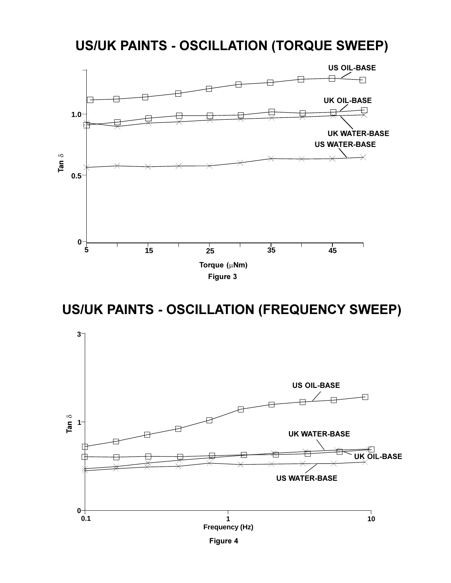## **US/UK PAINTS - OSCILLATION (TORQUE SWEEP)**



**US/UK PAINTS - OSCILLATION (FREQUENCY SWEEP)**

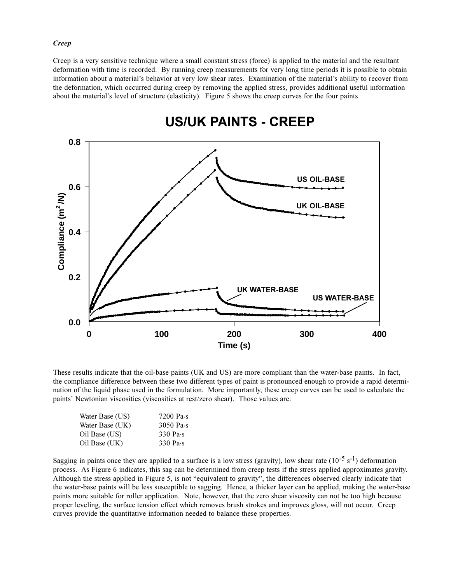### *Creep*

Creep is a very sensitive technique where a small constant stress (force) is applied to the material and the resultant deformation with time is recorded. By running creep measurements for very long time periods it is possible to obtain information about a material's behavior at very low shear rates. Examination of the material's ability to recover from the deformation, which occurred during creep by removing the applied stress, provides additional useful information about the material's level of structure (elasticity). Figure 5 shows the creep curves for the four paints.



## **US/UK PAINTS - CREEP**

These results indicate that the oil-base paints (UK and US) are more compliant than the water-base paints. In fact, the compliance difference between these two different types of paint is pronounced enough to provide a rapid determination of the liquid phase used in the formulation. More importantly, these creep curves can be used to calculate the paints' Newtonian viscosities (viscosities at rest/zero shear). Those values are:

| 7200 Pa $\cdot$ s   |
|---------------------|
| $3050$ Pa $\cdot$ s |
| $330$ Pa $\cdot$ s  |
| $330$ Pa $\cdot$ s  |
|                     |

Sagging in paints once they are applied to a surface is a low stress (gravity), low shear rate  $(10^{-5} s^{-1})$  deformation process. As Figure 6 indicates, this sag can be determined from creep tests if the stress applied approximates gravity. Although the stress applied in Figure 5, is not "equivalent to gravity", the differences observed clearly indicate that the water-base paints will be less susceptible to sagging. Hence, a thicker layer can be applied, making the water-base paints more suitable for roller application. Note, however, that the zero shear viscosity can not be too high because proper leveling, the surface tension effect which removes brush strokes and improves gloss, will not occur. Creep curves provide the quantitative information needed to balance these properties.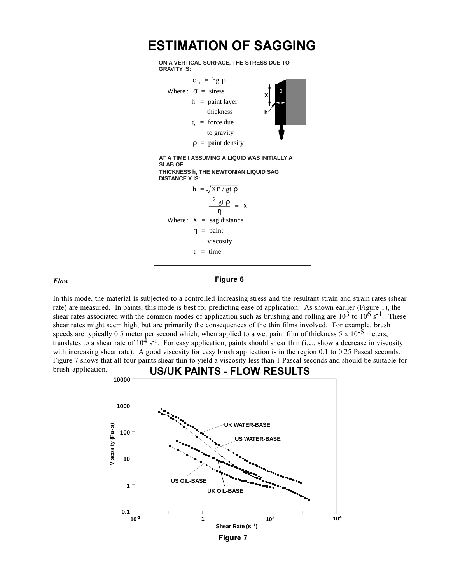

#### *Flow*

### **Figure 6**

In this mode, the material is subjected to a controlled increasing stress and the resultant strain and strain rates (shear rate) are measured. In paints, this mode is best for predicting ease of application. As shown earlier (Figure 1), the shear rates associated with the common modes of application such as brushing and rolling are  $10^3$  to  $10^6$  s<sup>-1</sup>. These shear rates might seem high, but are primarily the consequences of the thin films involved. For example, brush speeds are typically 0.5 meter per second which, when applied to a wet paint film of thickness  $5 \times 10^{-5}$  meters, translates to a shear rate of  $10^4$  s<sup>-1</sup>. For easy application, paints should shear thin (i.e., show a decrease in viscosity with increasing shear rate). A good viscosity for easy brush application is in the region 0.1 to 0.25 Pascal seconds. Figure 7 shows that all four paints shear thin to yield a viscosity less than 1 Pascal seconds and should be suitable for brush application. **US/UK PAINTS - FLOW RESULTS**

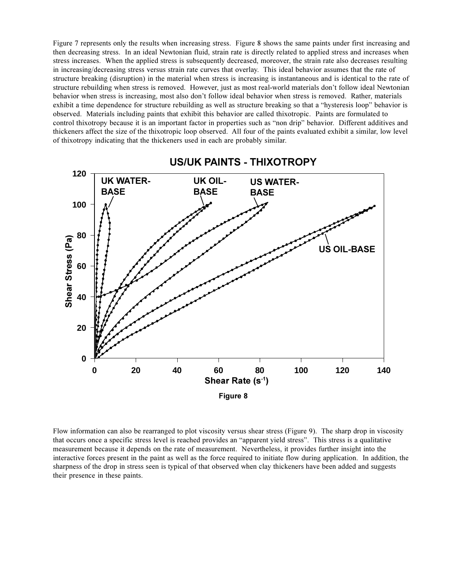Figure 7 represents only the results when increasing stress. Figure 8 shows the same paints under first increasing and then decreasing stress. In an ideal Newtonian fluid, strain rate is directly related to applied stress and increases when stress increases. When the applied stress is subsequently decreased, moreover, the strain rate also decreases resulting in increasing/decreasing stress versus strain rate curves that overlay. This ideal behavior assumes that the rate of structure breaking (disruption) in the material when stress is increasing is instantaneous and is identical to the rate of structure rebuilding when stress is removed. However, just as most real-world materials don't follow ideal Newtonian behavior when stress is increasing, most also don't follow ideal behavior when stress is removed. Rather, materials exhibit a time dependence for structure rebuilding as well as structure breaking so that a "hysteresis loop" behavior is observed. Materials including paints that exhibit this behavior are called thixotropic. Paints are formulated to control thixotropy because it is an important factor in properties such as "non drip" behavior. Different additives and thickeners affect the size of the thixotropic loop observed. All four of the paints evaluated exhibit a similar, low level of thixotropy indicating that the thickeners used in each are probably similar.



Flow information can also be rearranged to plot viscosity versus shear stress (Figure 9). The sharp drop in viscosity that occurs once a specific stress level is reached provides an "apparent yield stress". This stress is a qualitative measurement because it depends on the rate of measurement. Nevertheless, it provides further insight into the interactive forces present in the paint as well as the force required to initiate flow during application. In addition, the sharpness of the drop in stress seen is typical of that observed when clay thickeners have been added and suggests their presence in these paints.